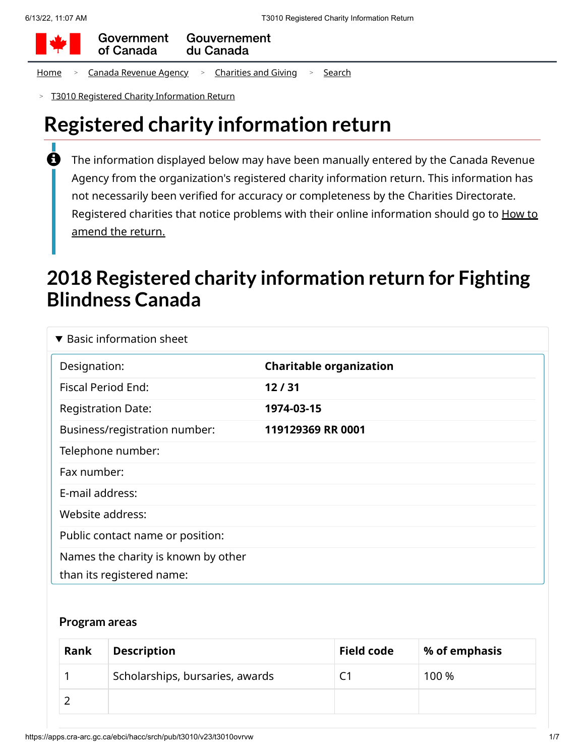

Government Gouvernement of Canada du Canada

[Home](https://apps.cra-arc.gc.ca/ebci/hacc/srch/pub/rdrctToLnk?linkKey=breadcrumbHome) > Canada [Revenue](https://apps.cra-arc.gc.ca/ebci/hacc/srch/pub/rdrctToLnk?linkKey=breadcrumbCRA) Agency > [Charities](https://apps.cra-arc.gc.ca/ebci/hacc/srch/pub/rdrctToLnk?linkKey=breadcrumbCharities) and Giving > [Search](https://apps.cra-arc.gc.ca/ebci/hacc/srch/pub/rdrctToLnk?linkKey=breadcrumbSearch)

T3010 Registered Charity [Information Return](https://apps.cra-arc.gc.ca/ebci/hacc/srch/pub/t3010/v23/t3010ovrvw) >

# **Registered charity information return**

The information displayed below may have been manually entered by the Canada Revenue Agency from the organization's registered charity information return. This information has not necessarily been verified for accuracy or completeness by the Charities Directorate. Registered charities that notice problems with their online [information](https://www.canada.ca/en/revenue-agency/services/charities-giving/charities/operating-a-registered-charity/t3010-charity-return-after-you-file.html#mndng) should go to How to amend the return.  $\mathbf \theta$ 

# **2018 Registered charity information return for Fighting Blindness Canada**

| $\blacktriangledown$ Basic information sheet                     |                                |  |  |  |
|------------------------------------------------------------------|--------------------------------|--|--|--|
| Designation:                                                     | <b>Charitable organization</b> |  |  |  |
| <b>Fiscal Period End:</b>                                        | 12/31                          |  |  |  |
| <b>Registration Date:</b>                                        | 1974-03-15                     |  |  |  |
| Business/registration number:                                    | 119129369 RR 0001              |  |  |  |
| Telephone number:                                                |                                |  |  |  |
| Fax number:                                                      |                                |  |  |  |
| E-mail address:                                                  |                                |  |  |  |
| Website address:                                                 |                                |  |  |  |
| Public contact name or position:                                 |                                |  |  |  |
| Names the charity is known by other<br>than its registered name: |                                |  |  |  |

#### **Program areas**

| Rank | <b>Description</b>              | <b>Field code</b> | % of emphasis |
|------|---------------------------------|-------------------|---------------|
|      | Scholarships, bursaries, awards |                   | 100 %         |
|      |                                 |                   |               |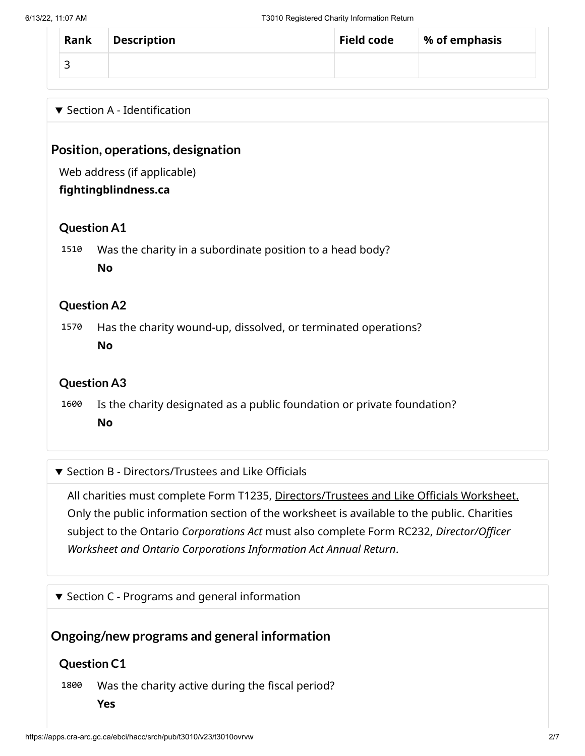| Rank   | <b>Description</b> | <b>Field code</b> | % of emphasis |
|--------|--------------------|-------------------|---------------|
| ∽<br>╌ |                    |                   |               |

### $\blacktriangledown$  Section A - Identification

## **Position, operations, designation**

Web address (if applicable)

#### **fightingblindness.ca**

### **Question A1**

1510 Was the charity in a subordinate position to a head body? **No**

#### **Question A2**

1570 Has the charity wound-up, dissolved, or terminated operations? **No**

## **Question A3**

1600 Is the charity designated as a public foundation or private foundation? **No**

#### ▼ Section B - Directors/Trustees and Like Officials

All charities must complete Form T1235, [Directors/Trustees](https://apps.cra-arc.gc.ca/ebci/hacc/srch/pub/t3010/v23/t3010DrctrsTrstsLkOffcls_dsplyovrvw) and Like Officials Worksheet. Only the public information section of the worksheet is available to the public. Charities subject to the Ontario *Corporations Act* must also complete Form RC232, *Director/Officer Worksheet and Ontario Corporations Information Act Annual Return*.

 $\blacktriangledown$  Section C - Programs and general information

## **Ongoing/new programs and general information**

#### **Question C1**

1800 Was the charity active during the fiscal period?

**Yes**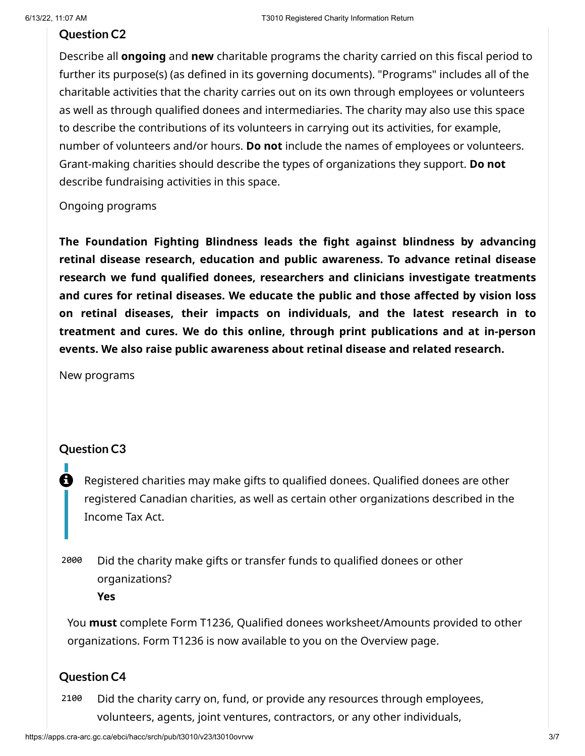#### **Question C2**

Describe all **ongoing** and **new** charitable programs the charity carried on this fiscal period to further its purpose(s) (as defined in its governing documents). "Programs" includes all of the charitable activities that the charity carries out on its own through employees or volunteers as well as through qualified donees and intermediaries. The charity may also use this space to describe the contributions of its volunteers in carrying out its activities, for example, number of volunteers and/or hours. **Do not** include the names of employees or volunteers. Grant-making charities should describe the types of organizations they support. **Do not** describe fundraising activities in this space.

#### Ongoing programs

**The Foundation Fighting Blindness leads the fight against blindness by advancing retinal disease research, education and public awareness. To advance retinal disease research we fund qualified donees, researchers and clinicians investigate treatments and cures for retinal diseases. We educate the public and those affected by vision loss on retinal diseases, their impacts on individuals, and the latest research in to treatment and cures. We do this online, through print publications and at in-person events. We also raise public awareness about retinal disease and related research.**

New programs

#### **Question C3**

 $\mathbf \Theta$ 

П

Registered charities may make gifts to qualified donees. Qualified donees are other registered Canadian charities, as well as certain other organizations described in the Income Tax Act.

2000 Did the charity make gifts or transfer funds to qualified donees or other organizations?

**Yes**

You **must** complete Form T1236, Qualified donees worksheet/Amounts provided to other organizations. Form T1236 is now available to you on the Overview page.

## **Question C4**

2100 Did the charity carry on, fund, or provide any resources through employees, volunteers, agents, joint ventures, contractors, or any other individuals,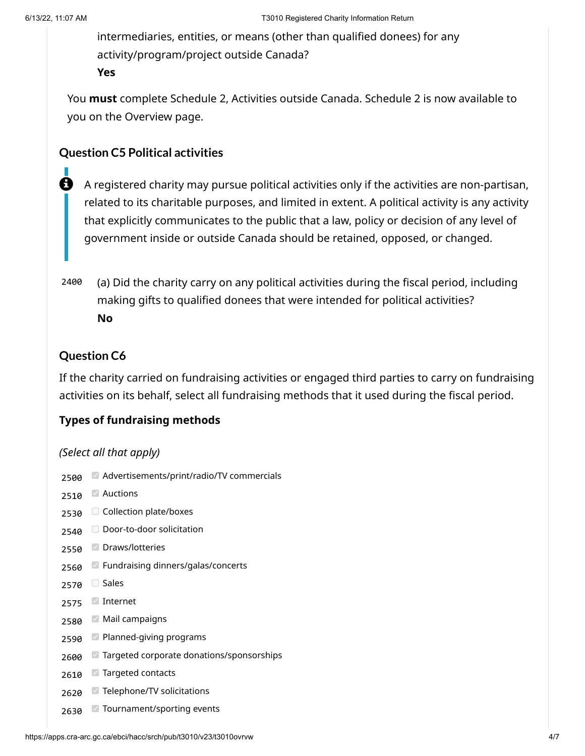intermediaries, entities, or means (other than qualified donees) for any activity/program/project outside Canada? **Yes**

You **must** complete Schedule 2, Activities outside Canada. Schedule 2 is now available to you on the Overview page.

## **Question C5 Political activities**

- A registered charity may pursue political activities only if the activities are non-partisan, related to its charitable purposes, and limited in extent. A political activity is any activity that explicitly communicates to the public that a law, policy or decision of any level of government inside or outside Canada should be retained, opposed, or changed. A
- 2400 (a) Did the charity carry on any political activities during the fiscal period, including making gifts to qualified donees that were intended for political activities? **No**

## **Question C6**

If the charity carried on fundraising activities or engaged third parties to carry on fundraising activities on its behalf, select all fundraising methods that it used during the fiscal period.

## **Types of fundraising methods**

#### *(Select all that apply)*

2500 Advertisements/print/radio/TV commercials 2510 Auctions 2530 Collection plate/boxes 2540 Door-to-door solicitation 2550 Draws/lotteries 2560 Fundraising dinners/galas/concerts 2570 Sales 2575 Internet 2580 Mail campaigns 2590 2600 2610 Targeted contacts 2620 Telephone/TV solicitations 2630 Tournament/sporting events**Planned-giving programs** Targeted corporate donations/sponsorships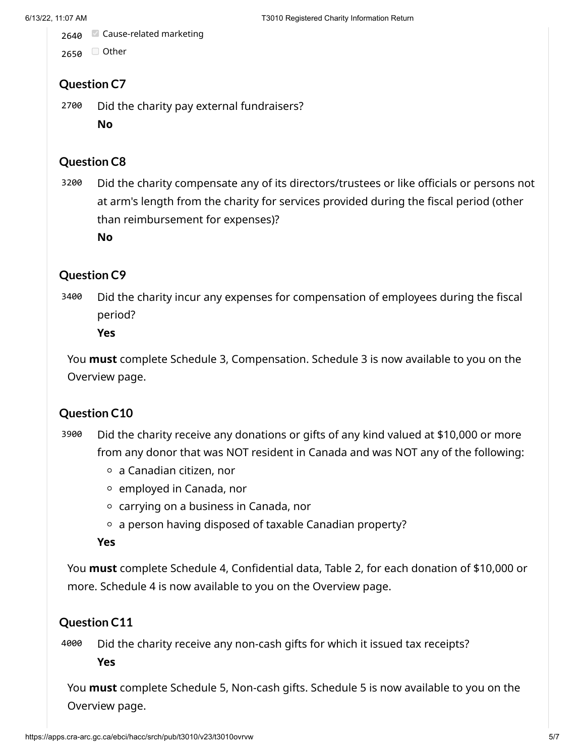2640 Cause-related marketing

2650 <del>O</del> Other

# **Question C7**

2700 Did the charity pay external fundraisers?

**No**

# **Question C8**

3200 Did the charity compensate any of its directors/trustees or like officials or persons not at arm's length from the charity for services provided during the fiscal period (other than reimbursement for expenses)?

**No**

# **Question C9**

3400 Did the charity incur any expenses for compensation of employees during the fiscal period?

**Yes**

You **must** complete Schedule 3, Compensation. Schedule 3 is now available to you on the Overview page.

# **Question C10**

- 3900 Did the charity receive any donations or gifts of any kind valued at \$10,000 or more from any donor that was NOT resident in Canada and was NOT any of the following:
	- a Canadian citizen, nor
	- $\circ$  employed in Canada, nor
	- carrying on a business in Canada, nor
	- $\circ$  a person having disposed of taxable Canadian property?

**Yes**

You **must** complete Schedule 4, Confidential data, Table 2, for each donation of \$10,000 or more. Schedule 4 is now available to you on the Overview page.

## **Question C11**

4000 Did the charity receive any non-cash gifts for which it issued tax receipts? **Yes**

You **must** complete Schedule 5, Non-cash gifts. Schedule 5 is now available to you on the Overview page.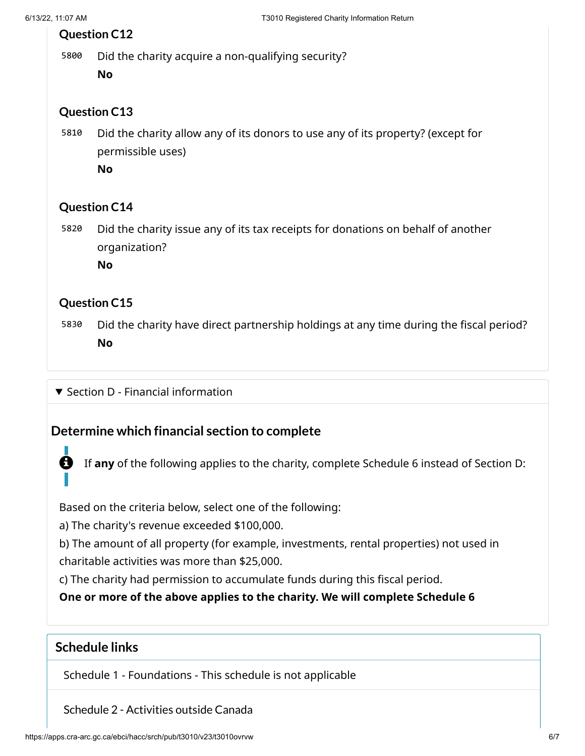## **Question C12**

5800 Did the charity acquire a non-qualifying security?

**No**

## **Question C13**

5810 Did the charity allow any of its donors to use any of its property? (except for permissible uses)

**No**

## **Question C14**

5820 Did the charity issue any of its tax receipts for donations on behalf of another organization?

**No**

# **Question C15**

5830 Did the charity have direct partnership holdings at any time during the fiscal period? **No**

 $\blacktriangledown$  Section D - Financial information

# **Determine which financial section to complete**

If **any** of the following applies to the charity, complete Schedule 6 instead of Section D:

Based on the criteria below, select one of the following:

a) The charity's revenue exceeded \$100,000.

b) The amount of all property (for example, investments, rental properties) not used in charitable activities was more than \$25,000.

c) The charity had permission to accumulate funds during this fiscal period.

**One or more of the above applies to the charity. We will complete Schedule 6**

# **Schedule links**

Schedule 1 - Foundations - This schedule is not applicable

Schedule 2 - [Activities](https://apps.cra-arc.gc.ca/ebci/hacc/srch/pub/t3010/v23/t3010Schdl2_dsplyovrvw) outside Canada